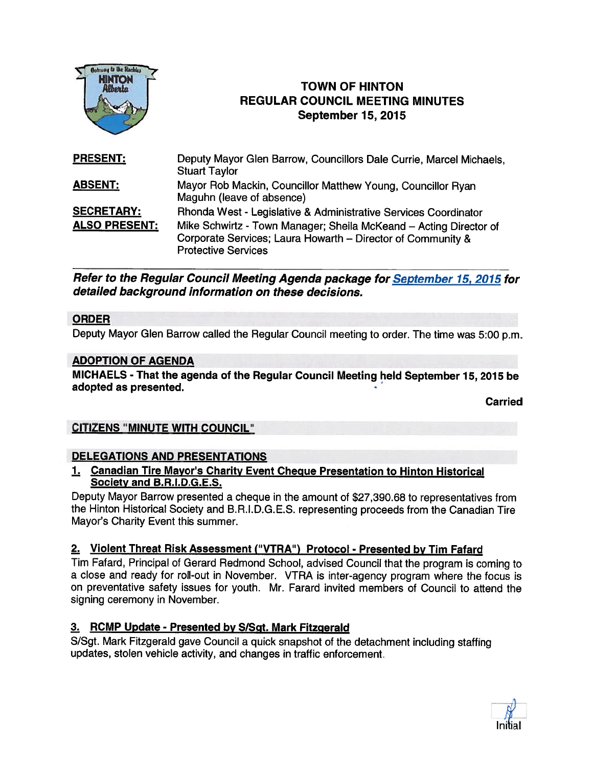

# TOWN OF HINTON REGULAR COUNCIL MEETING MINUTES September 15, 2015<br>
Alberta Fischer (September 15, 2015

| <b>PRESENT:</b>                           | Deputy Mayor Glen Barrow, Councillors Dale Currie, Marcel Michaels,<br><b>Stuart Taylor</b>                                                                                                                                       |
|-------------------------------------------|-----------------------------------------------------------------------------------------------------------------------------------------------------------------------------------------------------------------------------------|
| <b>ABSENT:</b>                            | Mayor Rob Mackin, Councillor Matthew Young, Councillor Ryan<br>Maguhn (leave of absence)                                                                                                                                          |
| <b>SECRETARY:</b><br><b>ALSO PRESENT:</b> | Rhonda West - Legislative & Administrative Services Coordinator<br>Mike Schwirtz - Town Manager; Sheila McKeand - Acting Director of<br>Corporate Services; Laura Howarth - Director of Community &<br><b>Protective Services</b> |

Refer to the Regular Council Meeting Agenda package for September 15, <sup>2015</sup> for detailed background information on these decisions.

## ORDER

Deputy Mayor Glen Barrow called the Regular Council meeting to order. The time was 5:00 p.m.

## ADOPTION OF AGENDA

MICHAELS - That the agenda of the Regular Council Meeting held September 15, <sup>2015</sup> be adopted as presented.

Carried

## CITIZENS "MINUTE WITH COUNCIL"

## DELEGATIONS AND PRESENTATIONS

1. Canadian Tire Mayor's Charity Event Cheque Presentation to Hinton Historical Society and B.R.l.D.G.E.S.

Deputy Mayor Barrow presented <sup>a</sup> cheque in the amount of \$27,390.68 to representatives from the Hinton Historical Society and B.R.l.D.G.E.S. representing proceeds from the Canadian Tire Mayor's Charity Event this summer.

## 2. Violent Threat Risk Assessment ("VTRA") Protocol - Presented by Tim Fafard

Tim Fafard, Principal of Gerard Redmond School, advised Council that the program is coming to <sup>a</sup> close and ready for roll-out in November. VTRA is inter-agency program where the focus is on preventative safety issues for youth. Mr. Farard invited members of Council to attend the signing ceremony in November.

## 3. RCMP Update - Presented by S/Sgt. Mark Fitzgerald

S/Sgt. Mark Fitzgerald gave Council <sup>a</sup> quick snapshot of the detachment including staffing updates, stolen vehicle activity, and changes in traffic enforcement.

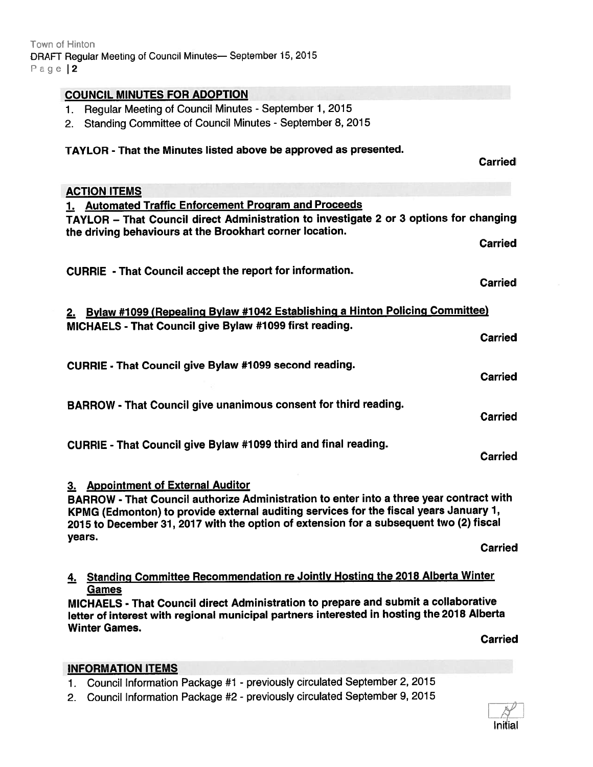## COUNCIL MINUTES FOR ADOPTION

- 1. Regular Meeting of Council Minutes September 1, <sup>2015</sup>
- 2. Standing Committee of Council Minutes September 8, <sup>2015</sup>

## TAYLOR -That the Minutes listed above be approved as presented.

ACTION ITEMS 1. Automated Traffic Enforcement Program and Proceeds TAYLOR — That Council direct Administration to investigate <sup>2</sup> or 3 options for changing the driving behaviours at the Brookhart corner location. Carried CURRIE - That Council accep<sup>t</sup> the repor<sup>t</sup> for information. Carried 2. Bylaw #1099 (Repealing Bylaw #1042 Establishing a Hinton Policing Committee) MICHAELS - That Council give Bylaw #1099 first reading. Carried CURRIE - That Council give Bylaw #1 099 second reading. Carried BARROW - That Council <sup>g</sup>ive unanimous consent for third reading. Carried CURRIE - That Council give Bylaw #1099 third and final reading. Carried 3. Appointment of External Auditor BARROW - That Council authorize Administration to enter into <sup>a</sup> three year contract with KPMG (Edmonton) to provide external auditing services for the fiscal years January 1, <sup>2015</sup> to December 31, <sup>2017</sup> with the option of extension for <sup>a</sup> subsequent two (2) fiscal years. Carried 4. Standing Committee Recommendation re Jointly Hosting the <sup>2018</sup> Alberta Winter Games MICHAELS - That Council direct Administration to prepare and submit <sup>a</sup> collaborative letter of interest with regional municipal partners interested in hosting the <sup>2078</sup> Alberta Winter Games.

Carried

Carried

## INFORMATION ITEMS

- 1. Council Information Package #1 previously circulated September 2, <sup>2015</sup>
- 2. Council Information Package #2 previously circulated September 9, <sup>2015</sup>

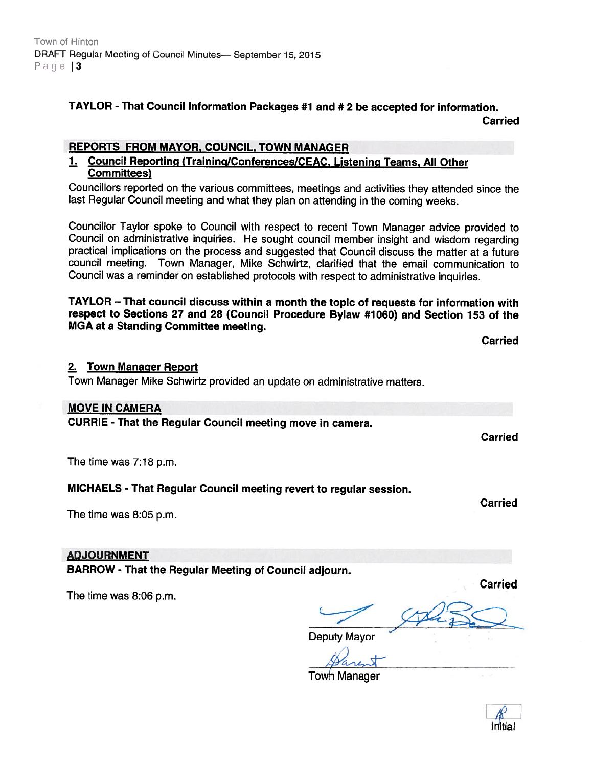#### TAYLOR -That Council Information Packages #1 and # <sup>2</sup> be accepted for information. Carried

## REPORTS FROM MAYOR, COUNCIL. TOWN MANAGER

## 1. Council Reporting (Training/Conferences/CEAC, Listening Teams, All Other Committees)

Councillors reported on the various committees, meetings and activities they attended since the last Regular Council meeting and what they <sup>p</sup>lan on attending in the coming weeks.

Councillor Taylor spoke to Council with respec<sup>t</sup> to recent Town Manager advice provided to Council on administrative inquiries. He sought council member insight and wisdom regarding practical implications on the process and suggested that Council discuss the matter at <sup>a</sup> future council meeting. Town Manager, Mike Schwirtz, clarified that the email communication to Council was <sup>a</sup> reminder on established protocols with respec<sup>t</sup> to administrative inquiries.

TAYLOR — That council discuss within <sup>a</sup> month the topic of requests for information with respec<sup>t</sup> to Sections 27 and 28 (Council Procedure Bylaw #7 060) and Section 153 of the MGA at <sup>a</sup> Standing Committee meeting.

| <b>Town Manager Report</b><br>2.<br>Town Manager Mike Schwirtz provided an update on administrative matters. |                |
|--------------------------------------------------------------------------------------------------------------|----------------|
| <b>MOVE IN CAMERA</b>                                                                                        |                |
| <b>CURRIE - That the Regular Council meeting move in camera.</b>                                             |                |
|                                                                                                              | Carried        |
| The time was 7:18 p.m.                                                                                       |                |
| MICHAELS - That Regular Council meeting revert to regular session.                                           |                |
| The time was 8:05 p.m.                                                                                       | <b>Carried</b> |

#### ADJOURNMENT

BARROW - That the Regular Meeting of Council adjourn.

The time was 8:06 p.m.

Deputy Mayor

**Town Manager** 



Carried

Carried